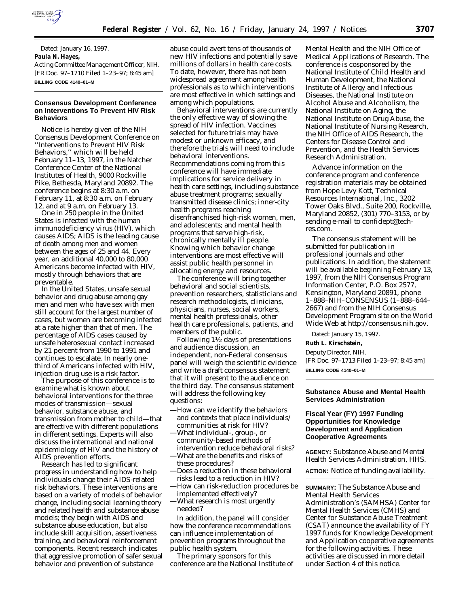

Dated: January 16, 1997. **Paula N. Hayes,** *Acting Committee Management Officer, NIH.* [FR Doc. 97–1710 Filed 1–23–97; 8:45 am] **BILLING CODE 4140–01–M**

### **Consensus Development Conference on Interventions To Prevent HIV Risk Behaviors**

Notice is hereby given of the NIH Consensus Development Conference on ''Interventions to Prevent HIV Risk Behaviors,'' which will be held February 11–13, 1997, in the Natcher Conference Center of the National Institutes of Health, 9000 Rockville Pike, Bethesda, Maryland 20892. The conference begins at 8:30 a.m. on February 11, at 8:30 a.m. on February 12, and at 9 a.m. on February 13.

One in 250 people in the United States is infected with the human immunodeficiency virus (HIV), which causes AIDS; AIDS is the leading cause of death among men and women between the ages of 25 and 44. Every year, an additional 40,000 to 80,000 Americans become infected with HIV, mostly through behaviors that are preventable.

In the United States, unsafe sexual behavior and drug abuse among gay men and men who have sex with men still account for the largest number of cases, but women are becoming infected at a rate higher than that of men. The percentage of AIDS cases caused by unsafe heterosexual contact increased by 21 percent from 1990 to 1991 and continues to escalate. In nearly onethird of Americans infected with HIV, injection drug use is a risk factor.

The purpose of this conference is to examine what is known about behavioral interventions for the three modes of transmission—sexual behavior, substance abuse, and transmission from mother to child—that are effective with different populations in different settings. Experts will also discuss the international and national epidemiology of HIV and the history of AIDS prevention efforts.

Research has led to significant progress in understanding how to help individuals change their AIDS-related risk behaviors. These interventions are based on a variety of models of behavior change, including social learning theory and related health and substance abuse models; they begin with AIDS and substance abuse education, but also include skill acquisition, assertiveness training, and behavioral reinforcement components. Recent research indicates that aggressive promotion of safer sexual behavior and prevention of substance

abuse could avert tens of thousands of new HIV infections and potentially save millions of dollars in health care costs. To date, however, there has not been widespread agreement among health professionals as to which interventions are most effective in which settings and among which populations.

Behavioral interventions are currently the only effective way of slowing the spread of HIV infection. Vaccines selected for future trials may have modest or unknown efficacy, and therefore the trials will need to include behavioral interventions. Recommendations coming from this conference will have immediate implications for service delivery in health care settings, including substance abuse treatment programs; sexually transmitted disease clinics; inner-city health programs reaching disenfranchised high-risk women, men, and adolescents; and mental health programs that serve high-risk, chronically mentally ill people. Knowing which behavior change interventions are most effective will assist public health personnel in allocating energy and resources.

The conference will bring together behavioral and social scientists, prevention researchers, statisticians and research methodologists, clinicians, physicians, nurses, social workers, mental health professionals, other health care professionals, patients, and members of the public.

Following  $1\frac{1}{2}$  days of presentations and audience discussion, an independent, non-Federal consensus panel will weigh the scientific evidence and write a draft consensus statement that it will present to the audience on the third day. The consensus statement will address the following key questions:

- —How can we identify the behaviors and contexts that place individuals/ communities at risk for HIV?
- —What individual-, group-, or community-based methods of intervention reduce behavioral risks? —What are the benefits and risks of
- these procedures?
- —Does a reduction in these behavioral risks lead to a reduction in HIV?
- —How can risk-reduction procedures be implemented effectively?
- —What research is most urgently needed?

In addition, the panel will consider how the conference recommendations can influence implementation of prevention programs throughout the public health system.

The primary sponsors for this conference are the National Institute of

Mental Health and the NIH Office of Medical Applications of Research. The conference is cosponsored by the National Institute of Child Health and Human Development, the National Institute of Allergy and Infectious Diseases, the National Institute on Alcohol Abuse and Alcoholism, the National Institute on Aging, the National Institute on Drug Abuse, the National Institute of Nursing Research, the NIH Office of AIDS Research, the Centers for Disease Control and Prevention, and the Health Services Research Administration.

Advance information on the conference program and conference registration materials may be obtained from Hope Levy Kott, Technical Resources International, Inc., 3202 Tower Oaks Blvd., Suite 200, Rockville, Maryland 20852, (301) 770–3153, or by sending e-mail to confidept@techres.com.

The consensus statement will be submitted for publication in professional journals and other publications. In addition, the statement will be available beginning February 13, 1997, from the NIH Consensus Program Information Center, P.O. Box 2577, Kensington, Maryland 20891, phone 1–888–NIH–CONSENSUS (1–888–644– 2667) and from the NIH Consensus Development Program site on the World Wide Web at http://consensus.nih.gov.

Dated: January 15, 1997.

**Ruth L. Kirschstein,**

*Deputy Director, NIH.*

[FR Doc. 97–1713 Filed 1–23–97; 8:45 am] **BILLING CODE 4140–01–M**

#### **Substance Abuse and Mental Health Services Administration**

# **Fiscal Year (FY) 1997 Funding Opportunities for Knowledge Development and Application Cooperative Agreements**

**AGENCY:** Substance Abuse and Mental Health Services Administration, HHS.

**ACTION:** Notice of funding availability.

**SUMMARY:** The Substance Abuse and Mental Health Services Administration's (SAMHSA) Center for Mental Health Services (CMHS) and Center for Substance Abuse Treatment (CSAT) announce the availability of FY 1997 funds for Knowledge Development and Application cooperative agreements for the following activities. These activities are discussed in more detail under Section 4 of this notice.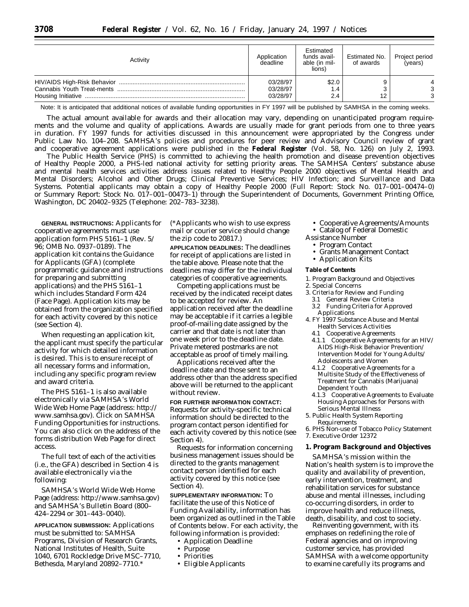| Activity | Application<br>deadline          | Estimated<br>funds avail-<br>able (in mil-<br>lions) | Estimated No.<br>of awards | Project period<br>(years) |
|----------|----------------------------------|------------------------------------------------------|----------------------------|---------------------------|
|          | 03/28/97<br>03/28/97<br>03/28/97 | \$2.0<br>1.4<br>2.4                                  | 12                         | ົ                         |

Note: It is anticipated that additional notices of available funding opportunities in FY 1997 will be published by SAMHSA in the coming weeks.

The actual amount available for awards and their allocation may vary, depending on unanticipated program requirements and the volume and quality of applications. Awards are usually made for grant periods from one to three years in duration. FY 1997 funds for activities discussed in this announcement were appropriated by the Congress under Public Law No. 104–208. SAMHSA's policies and procedures for peer review and Advisory Council review of grant and cooperative agreement applications were published in the **Federal Register** (Vol. 58, No. 126) on July 2, 1993.

The Public Health Service (PHS) is committed to achieving the health promotion and disease prevention objectives of Healthy People 2000, a PHS-led national activity for setting priority areas. The SAMHSA Centers' substance abuse and mental health services activities address issues related to Healthy People 2000 objectives of Mental Health and Mental Disorders; Alcohol and Other Drugs; Clinical Preventive Services; HIV Infection; and Surveillance and Data Systems. Potential applicants may obtain a copy of Healthy People 2000 (Full Report: Stock No. 017–001–00474–0) or Summary Report: Stock No. 017–001–00473–1) through the Superintendent of Documents, Government Printing Office, Washington, DC 20402–9325 (Telephone: 202–783–3238).

**GENERAL INSTRUCTIONS:** Applicants for cooperative agreements must use application form PHS 5161–1 (Rev. 5/ 96; OMB No. 0937–0189). The application kit contains the Guidance for Applicants (GFA) (complete programmatic guidance and instructions for preparing and submitting applications) and the PHS 5161–1 which includes Standard Form 424 (Face Page). Application kits may be obtained from the organization specified for each activity covered by this notice (see Section 4).

When requesting an application kit, the applicant must specify the particular activity for which detailed information is desired. This is to ensure receipt of all necessary forms and information, including any specific program review and award criteria.

The PHS 5161–1 is also available electronically via SAMHSA's World Wide Web Home Page (address: http:// www.samhsa.gov). Click on SAMHSA Funding Opportunities for instructions. You can also click on the address of the forms distribution Web Page for direct access.

The full text of each of the activities (i.e., the GFA) described in Section 4 is available electronically via the following:

SAMHSA's World Wide Web Home Page (address: http://www.samhsa.gov) and SAMHSA's Bulletin Board (800– 424–2294 or 301–443–0040).

**APPLICATION SUBMISSION:** Applications must be submitted to: SAMHSA Programs, Division of Research Grants, National Institutes of Health, Suite 1040, 6701 Rockledge Drive MSC–7710, Bethesda, Maryland 20892–7710.\*

(\*Applicants who wish to use express mail or courier service should change the zip code to 20817.)

**APPLICATION DEADLINES:** The deadlines for receipt of applications are listed in the table above. Please note that the deadlines may differ for the individual categories of cooperative agreements.

Competing applications must be received by the indicated receipt dates to be accepted for review. An application received after the deadline may be acceptable if it carries a legible proof-of-mailing date assigned by the carrier and that date is not later than one week prior to the deadline date. Private metered postmarks are not acceptable as proof of timely mailing.

Applications received after the deadline date and those sent to an address other than the address specified above will be returned to the applicant without review.

# **FOR FURTHER INFORMATION CONTACT:** Requests for activity-specific technical information should be directed to the program contact person identified for each activity covered by this notice (see Section 4).

Requests for information concerning business management issues should be directed to the grants management contact person identified for each activity covered by this notice (see Section 4).

**SUPPLEMENTARY INFORMATION:** To facilitate the use of this Notice of Funding Availability, information has been organized as outlined in the Table of Contents below. For each activity, the following information is provided:

- Application Deadline
- Purpose
- Priorities
- Eligible Applicants
- Cooperative Agreements/Amounts
- Catalog of Federal Domestic
- Assistance Number
	- Program Contact
	- Grants Management Contact
	- Application Kits

#### **Table of Contents**

- 1. Program Background and Objectives
- 2. Special Concerns
- 3. Criteria for Review and Funding
- 3.1 General Review Criteria 3.2 Funding Criteria for Approved
- Applications 4. FY 1997 Substance Abuse and Mental
- Health Services Activities
- 4.1 Cooperative Agreements
- 4.1.1 Cooperative Agreements for an HIV/ AIDS High-Risk Behavior Prevention/ Intervention Model for Young Adults/ Adolescents and Women
- 4.1.2 Cooperative Agreements for a Multisite Study of the Effectiveness of Treatment for Cannabis (Marijuana) Dependent Youth
- 4.1.3 Cooperative Agreements to Evaluate Housing Approaches for Persons with Serious Mental Illness
- 5. Public Health System Reporting
- Requirements
- 6. PHS Non-use of Tobacco Policy Statement
- 7. Executive Order 12372
- **1. Program Background and Objectives**

SAMHSA's mission within the Nation's health system is to improve the quality and availability of prevention, early intervention, treatment, and rehabilitation services for substance abuse and mental illnesses, including co-occurring disorders, in order to improve health and reduce illness, death, disability, and cost to society.

Reinventing government, with its emphases on redefining the role of Federal agencies and on improving customer service, has provided SAMHSA with a welcome opportunity to examine carefully its programs and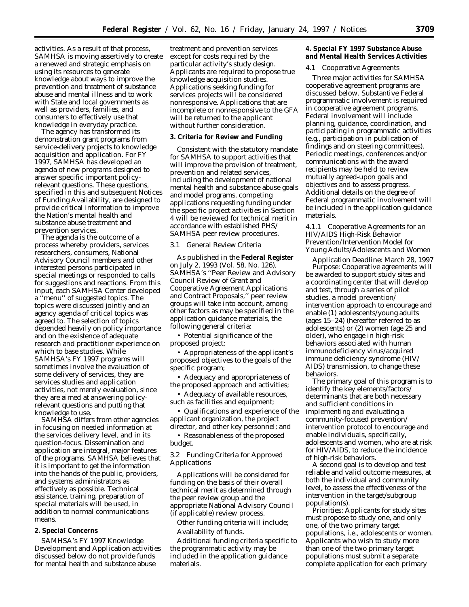activities. As a result of that process, SAMHSA is moving assertively to create a renewed and strategic emphasis on using its resources to generate knowledge about ways to improve the prevention and treatment of substance abuse and mental illness and to work with State and local governments as well as providers, families, and consumers to effectively use that knowledge in everyday practice.

The agency has transformed its demonstration grant programs from service-delivery projects to knowledge acquisition and application. For FY 1997, SAMHSA has developed an agenda of new programs designed to answer specific important policyrelevant questions. These questions, specified in this and subsequent Notices of Funding Availability, are designed to provide critical information to improve the Nation's mental health and substance abuse treatment and prevention services.

The agenda is the outcome of a process whereby providers, services researchers, consumers, National Advisory Council members and other interested persons participated in special meetings or responded to calls for suggestions and reactions. From this input, each SAMHSA Center developed a ''menu'' of suggested topics. The topics were discussed jointly and an agency agenda of critical topics was agreed to. The selection of topics depended heavily on policy importance and on the existence of adequate research and practitioner experience on which to base studies. While SAMHSA's FY 1997 programs will sometimes involve the evaluation of some delivery of services, they are services studies and application activities, not merely evaluation, since they are aimed at answering policyrelevant questions and putting that knowledge to use.

SAMHSA differs from other agencies in focusing on needed information at the services delivery level, and in its question-focus. Dissemination and application are integral, major features of the programs. SAMHSA believes that it is important to get the information into the hands of the public, providers, and systems administrators as effectively as possible. Technical assistance, training, preparation of special materials will be used, in addition to normal communications means.

# **2. Special Concerns**

SAMHSA's FY 1997 Knowledge Development and Application activities discussed below do not provide funds for mental health and substance abuse

treatment and prevention services except for costs required by the particular activity's study design. Applicants are required to propose true knowledge acquisition studies. Applications seeking funding for services projects will be considered nonresponsive. Applications that are incomplete or nonresponsive to the GFA will be returned to the applicant without further consideration.

#### **3. Criteria for Review and Funding**

Consistent with the statutory mandate for SAMHSA to support activities that will improve the provision of treatment, prevention and related services, including the development of national mental health and substance abuse goals and model programs, competing applications requesting funding under the specific project activities in Section 4 will be reviewed for technical merit in accordance with established PHS/ SAMHSA peer review procedures.

#### *3.1 General Review Criteria*

As published in the **Federal Register** on July 2, 1993 (Vol. 58, No. 126), SAMHSA's ''Peer Review and Advisory Council Review of Grant and Cooperative Agreement Applications and Contract Proposals,'' peer review groups will take into account, among other factors as may be specified in the application guidance materials, the following general criteria:

• Potential significance of the proposed project;

• Appropriateness of the applicant's proposed objectives to the goals of the specific program;

• Adequacy and appropriateness of the proposed approach and activities;

• Adequacy of available resources, such as facilities and equipment;

• Qualifications and experience of the applicant organization, the project director, and other key personnel; and

• Reasonableness of the proposed budget.

### *3.2 Funding Criteria for Approved Applications*

Applications will be considered for funding on the basis of their overall technical merit as determined through the peer review group and the appropriate National Advisory Council (if applicable) review process.

Other funding criteria will include; Availability of funds.

Additional funding criteria specific to the programmatic activity may be included in the application guidance materials.

**4. Special FY 1997 Substance Abuse and Mental Health Services Activities**

#### *4.1 Cooperative Agreements*

Three major activities for SAMHSA cooperative agreement programs are discussed below. Substantive Federal programmatic involvement is required in cooperative agreement programs. Federal involvement will include planning, guidance, coordination, and participating in programmatic activities (e.g., participation in publication of findings and on steering committees). Periodic meetings, conferences and/or communications with the award recipients may be held to review mutually agreed-upon goals and objectives and to assess progress. Additional details on the degree of Federal programmatic involvement will be included in the application guidance materials.

### *4.1.1 Cooperative Agreements for an HIV/AIDS High-Risk Behavior Prevention/Intervention Model for Young Adults/Adolescents and Women*

*Application Deadline:* March 28, 1997 *Purpose:* Cooperative agreements will be awarded to support study sites and a coordinating center that will develop and test, through a series of pilot studies, a model prevention/ intervention approach to encourage and enable (1) adolescents/young adults (ages 15–24) (hereafter referred to as adolescents) or (2) women (age 25 and older), who engage in high-risk behaviors associated with human immunodeficiency virus/acquired immune deficiency syndrome (HIV/ AIDS) transmission, to change these behaviors.

The primary goal of this program is to identify the key elements/factors/ determinants that are both necessary and sufficient conditions in implementing and evaluating a community-focused prevention/ intervention protocol to encourage and enable individuals, specifically, adolescents and women, who are at risk for HIV/AIDS, to reduce the incidence of high-risk behaviors.

A second goal is to develop and test reliable and valid outcome measures, at both the individual and community level, to assess the effectiveness of the intervention in the target/subgroup population(s).

*Priorities:* Applicants for study sites must propose to study one, and only one, of the two primary target populations, i.e., adolescents or women. Applicants who wish to study more than one of the two primary target populations must submit a separate complete application for each primary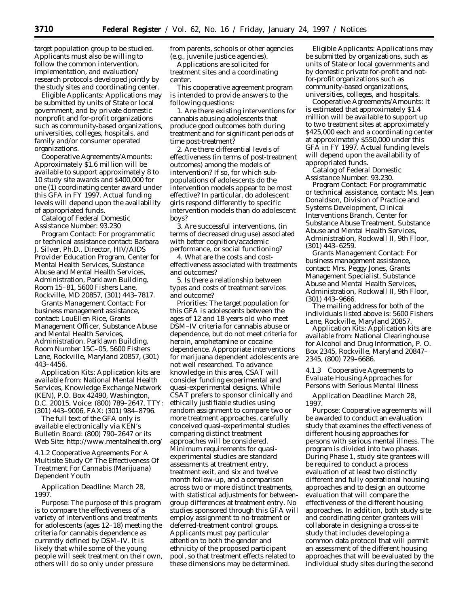target population group to be studied. Applicants must also be willing to follow the common intervention, implementation, and evaluation/ research protocols developed jointly by the study sites and coordinating center.

*Eligible Applicants:* Applications may be submitted by units of State or local government, and by private domestic nonprofit and for-profit organizations such as community-based organizations, universities, colleges, hospitals, and family and/or consumer operated organizations.

*Cooperative Agreements/Amounts:* Approximately \$1.6 million will be available to support approximately 8 to 10 study site awards and \$400,000 for one (1) coordinating center award under this GFA in FY 1997. Actual funding levels will depend upon the availability of appropriated funds.

*Catalog of Federal Domestic Assistance Number:* 93.230

*Program Contact:* For programmatic or technical assistance contact: Barbara J. Silver, Ph.D., Director, HIV/AIDS Provider Education Program, Center for Mental Health Services, Substance Abuse and Mental Health Services, Administration, Parklawn Building, Room 15–81, 5600 Fishers Lane, Rockville, MD 20857, (301) 443–7817.

*Grants Management Contact:* For business management assistance, contact: LouEllen Rice, Grants Management Officer, Substance Abuse and Mental Health Services, Administration, Parklawn Building, Room Number 15C–05, 5600 Fishers Lane, Rockville, Maryland 20857, (301) 443–4456.

*Application Kits:* Application kits are available from: National Mental Health Services, Knowledge Exchange Network (KEN), P.O. Box 42490, Washington, D.C. 20015, Voice: (800) 789–2647, TTY: (301) 443–9006, FAX: (301) 984–8796.

The full text of the GFA only is available electronically via KEN's Bulletin Board: (800) 790–2647 or its Web Site: http://www.mentalhealth.org/

*4.1.2 Cooperative Agreements For A Multisite Study Of The Effectiveness Of Treatment For Cannabis (Marijuana) Dependent Youth*

*Application Deadline:* March 28, 1997.

*Purpose:* The purpose of this program is to compare the effectiveness of a variety of interventions and treatments for adolescents (ages 12–18) meeting the criteria for cannabis dependence as currently defined by DSM–IV. It is likely that while some of the young people will seek treatment on their own, others will do so only under pressure

from parents, schools or other agencies (e.g., juvenile justice agencies).

Applications are solicited for treatment sites and a coordinating center.

This cooperative agreement program is intended to provide answers to the following questions:

1. Are there existing interventions for cannabis abusing adolescents that produce good outcomes both during treatment and for significant periods of time post-treatment?

2. Are there differential levels of effectiveness (in terms of post-treatment outcomes) among the models of intervention? If so, for which subpopulations of adolescents do the intervention models appear to be most effective? In particular, do adolescent girls respond differently to specific intervention models than do adolescent boys?

3. Are successful interventions, (in terms of decreased drug use) associated with better cognition/academic performance, or social functioning?

4. What are the costs and costeffectiveness associated with treatments and outcomes?

5. Is there a relationship between types and costs of treatment services and outcome?

*Priorities:* The target population for this GFA is adolescents between the ages of 12 and 18 years old who meet DSM–IV criteria for cannabis abuse or dependence, but do not meet criteria for heroin, amphetamine or cocaine dependence. Appropriate interventions for marijuana dependent adolescents are not well researched. To advance knowledge in this area, CSAT will consider funding experimental and quasi-experimental designs. While CSAT prefers to sponsor clinically and ethically justifiable studies using random assignment to compare two or more treatment approaches, carefully conceived quasi-experimental studies comparing distinct treatment approaches will be considered. Minimum requirements for quasiexperimental studies are standard assessments at treatment entry, treatment exit, and six and twelve month follow-up, and a comparison across two or more distinct treatments, with statistical adjustments for betweengroup differences at treatment entry. No studies sponsored through this GFA will employ assignment to no-treatment or deferred-treatment control groups. Applicants must pay particular attention to both the *gender* and *ethnicity* of the proposed participant pool, so that treatment effects related to these dimensions may be determined.

*Eligible Applicants:* Applications may be submitted by organizations, such as units of State or local governments and by domestic private for-profit and notfor-profit organizations such as community-based organizations, universities, colleges, and hospitals.

*Cooperative Agreements/Amounts:* It is estimated that approximately \$1.4 million will be available to support up to two treatment sites at approximately \$425,000 each and a coordinating center at approximately \$550,000 under this GFA in FY 1997. Actual funding levels will depend upon the availability of appropriated funds.

*Catalog of Federal Domestic Assistance Number:* 93.230.

*Program Contact:* For programmatic or technical assistance, contact: Ms. Jean Donaldson, Division of Practice and Systems Development, Clinical Interventions Branch, Center for Substance Abuse Treatment, Substance Abuse and Mental Health Services, Administration, Rockwall II, 9th Floor, (301) 443–6259.

*Grants Management Contact:* For business management assistance, contact: Mrs. Peggy Jones, Grants Management Specialist, Substance Abuse and Mental Health Services, Administration, Rockwall II, 9th Floor, (301) 443–9666.

The mailing address for both of the individuals listed above is: 5600 Fishers Lane, Rockville, Maryland 20857.

*Application Kits:* Application kits are available from: National Clearinghouse for Alcohol and Drug Information, P. O. Box 2345, Rockville, Maryland 20847– 2345, (800) 729–6686.

#### *4.1.3 Cooperative Agreements to Evaluate Housing Approaches for Persons with Serious Mental Illness*

*Application Deadline:* March 28, 1997.

*Purpose:* Cooperative agreements will be awarded to conduct an evaluation study that examines the effectiveness of different housing approaches for persons with serious mental illness. The program is divided into two phases. During Phase 1, study site grantees will be required to conduct a process evaluation of at least two distinctly different and fully operational housing approaches and to design an outcome evaluation that will compare the effectiveness of the different housing approaches. In addition, both study site and coordinating center grantees will collaborate in designing a cross-site study that includes developing a common data protocol that will permit an assessment of the different housing approaches that will be evaluated by the individual study sites during the second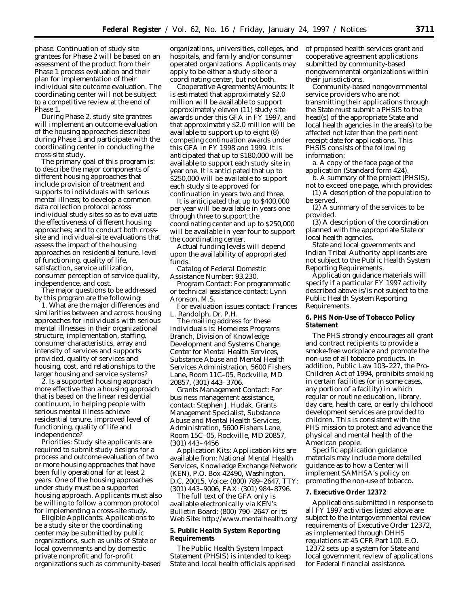phase. Continuation of study site grantees for Phase 2 will be based on an assessment of the product from their Phase 1 process evaluation and their plan for implementation of their individual site outcome evaluation. The coordinating center will not be subject to a competitive review at the end of Phase 1.

During Phase 2, study site grantees will implement an outcome evaluation of the housing approaches described during Phase 1 and participate with the coordinating center in conducting the cross-site study.

The primary goal of this program is: to describe the major components of different housing approaches that include provision of treatment and supports to individuals with serious mental illness; to develop a common data collection protocol across individual study sites so as to evaluate the effectiveness of different housing approaches; and to conduct both crosssite and individual-site evaluations that assess the impact of the housing approaches on residential tenure, level of functioning, quality of life, satisfaction, service utilization, consumer perception of service quality, independence, and cost.

The major questions to be addressed by this program are the following:

1. What are the major differences and similarities between and across housing approaches for individuals with serious mental illnesses in their organizational structure, implementation, staffing, consumer characteristics, array and intensity of services and supports provided, quality of services and housing, cost, and relationships to the larger housing and service systems?

2. Is a supported housing approach more effective than a housing approach that is based on the linear residential continuum, in helping people with serious mental illness achieve residential tenure, improved level of functioning, quality of life and independence?

*Priorities:* Study site applicants are required to submit study designs for a process and outcome evaluation of two or more housing approaches that have been fully operational for at least 2 years. One of the housing approaches under study must be a supported housing approach. Applicants must also be willing to follow a common protocol for implementing a cross-site study.

*Eligible Applicants:* Applications to be a study site or the coordinating center may be submitted by public organizations, such as units of State or local governments and by domestic private nonprofit and for-profit organizations such as community-based organizations, universities, colleges, and hospitals, and family and/or consumer operated organizations. Applicants may apply to be either a study site or a coordinating center, but not both.

*Cooperative Agreements/Amounts:* It is estimated that approximately \$2.0 million will be available to support approximately eleven (11) study site awards under this GFA in FY 1997, and that approximately \$2.0 million will be available to support up to eight (8) competing continuation awards under this GFA in FY 1998 and 1999. It is anticipated that up to \$180,000 will be available to support each study site in year one. It is anticipated that up to \$250,000 will be available to support each study site approved for continuation in years two and three.

It is anticipated that up to \$400,000 per year will be available in years one through three to support the coordinating center and up to \$250,000 will be available in year four to support the coordinating center.

Actual funding levels will depend upon the availability of appropriated funds.

*Catalog of Federal Domestic Assistance Number:* 93.230.

*Program Contact:* For programmatic or technical assistance contact: Lynn Aronson, M.S.

For evaluation issues contact: Frances L. Randolph, Dr. P.H.

The mailing address for these individuals is: Homeless Programs Branch, Division of Knowledge Development and Systems Change, Center for Mental Health Services, Substance Abuse and Mental Health Services Administration, 5600 Fishers Lane, Room 11C–05, Rockville, MD 20857, (301) 443–3706.

*Grants Management Contact:* For business management assistance, contact: Stephen J. Hudak, Grants Management Specialist, Substance Abuse and Mental Health Services, Administration, 5600 Fishers Lane, Room 15C–05, Rockville, MD 20857, (301) 443–4456

Application Kits: Application kits are available from: National Mental Health Services, Knowledge Exchange Network (KEN), P.O. Box 42490, Washington, D.C. 20015, Voice: (800) 789–2647, TTY: (301) 443–9006, FAX: (301) 984–8796.

The full text of the GFA only is available electronically via KEN's Bulletin Board: (800) 790–2647 or its Web Site: http://www.mentalhealth.org/

# **5. Public Health System Reporting Requirements**

The Public Health System Impact Statement (PHSIS) is intended to keep State and local health officials apprised of proposed health services grant and cooperative agreement applications submitted by community-based nongovernmental organizations within their jurisdictions.

Community-based nongovernmental service providers who are not transmitting their applications through the State must submit a PHSIS to the head(s) of the appropriate State and local health agencies in the area(s) to be affected not later than the pertinent receipt date for applications. This PHSIS consists of the following information:

a. A copy of the face page of the application (Standard form 424).

b. A summary of the project (PHSIS), not to exceed one page, which provides:

(1) A description of the population to be served.

(2) A summary of the services to be provided.

(3) A description of the coordination planned with the appropriate State or local health agencies.

State and local governments and Indian Tribal Authority applicants are not subject to the Public Health System Reporting Requirements.

Application guidance materials will specify if a particular FY 1997 activity described above is/is not subject to the Public Health System Reporting Requirements.

**6. PHS Non-Use of Tobacco Policy Statement**

The PHS strongly encourages all grant and contract recipients to provide a smoke-free workplace and promote the non-use of all tobacco products. In addition, Public Law 103–227, the Pro-Children Act of 1994, prohibits smoking in certain facilities (or in some cases, any portion of a facility) in which regular or routine education, library, day care, health care, or early childhood development services are provided to children. This is consistent with the PHS mission to protect and advance the physical and mental health of the American people.

Specific application guidance materials may include more detailed guidance as to how a Center will implement SAMHSA's policy on promoting the non-use of tobacco.

#### **7. Executive Order 12372**

Applications submitted in response to all FY 1997 activities listed above are subject to the intergovernmental review requirements of Executive Order 12372, as implemented through DHHS regulations at 45 CFR Part 100. E.O. 12372 sets up a system for State and local government review of applications for Federal financial assistance.